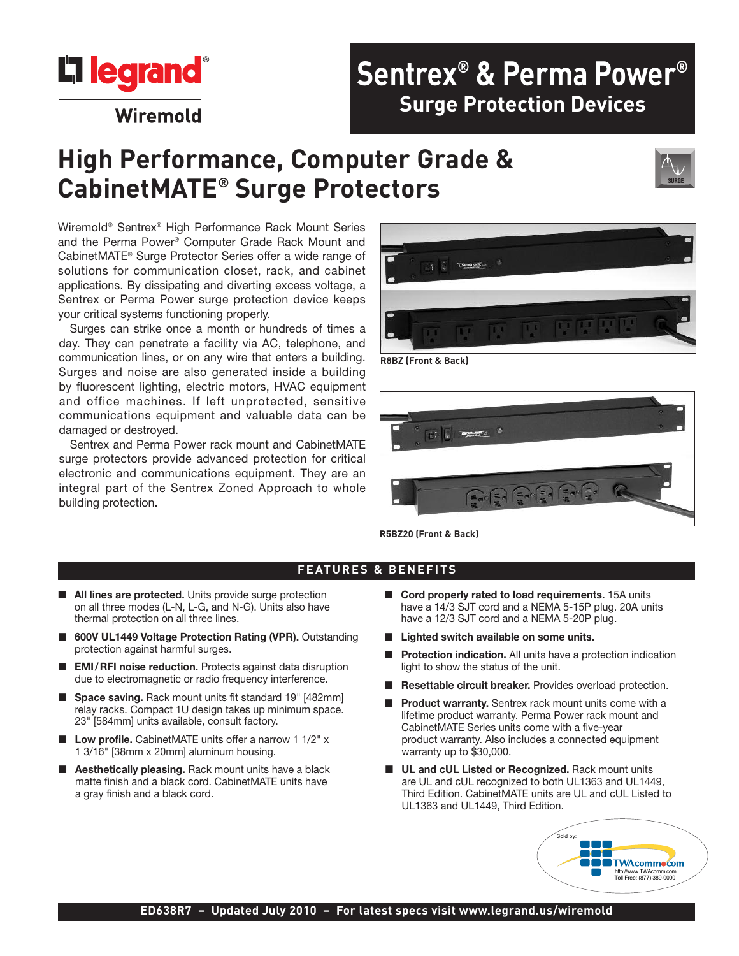

# **High Performance, Computer Grade & CabinetMATE® Surge Protectors**

Wiremold® Sentrex® High Performance Rack Mount Series and the Perma Power ® Computer Grade Rack Mount and CabinetMATE® Surge Protector Series offer a wide range of solutions for communication closet, rack, and cabinet applications. By dissipating and diverting excess voltage, a Sentrex or Perma Power surge protection device keeps your critical systems functioning properly.

Surges can strike once a month or hundreds of times a day. They can penetrate a facility via AC, telephone, and communication lines, or on any wire that enters a building. Surges and noise are also generated inside a building by fluorescent lighting, electric motors, HVAC equipment and office machines. If left unprotected, sensitive communications equipment and valuable data can be damaged or destroyed.

Sentrex and Perma Power rack mount and CabinetMATE surge protectors provide advanced protection for critical electronic and communications equipment. They are an integral part of the Sentrex Zoned Approach to whole building protection.



**R8BZ (Front & Back)**



**R5BZ20 (Front & Back)**

#### **FEATURES & BENEFITS**

- All lines are protected. Units provide surge protection on all three modes (L-N, L-G, and N-G). Units also have thermal protection on all three lines.
- n **600V UL1449 Voltage Protection Rating (VPR).** Outstanding protection against harmful surges.
- n **EMI/RFI noise reduction.** Protects against data disruption due to electromagnetic or radio frequency interference.
- Space saving. Rack mount units fit standard 19" [482mm] relay racks. Compact 1U design takes up minimum space. 23" [584mm] units available, consult factory.
- Low profile. CabinetMATE units offer a narrow 1 1/2" x 1 3/16" [38mm x 20mm] aluminum housing.
- **Aesthetically pleasing.** Rack mount units have a black matte finish and a black cord. CabinetMATE units have a gray finish and a black cord.
- Cord properly rated to load requirements. 15A units have a 14/3 SJT cord and a NEMA 5-15P plug. 20A units have a 12/3 SJT cord and a NEMA 5-20P plug.
- n **Lighted switch available on some units.**
- **Protection indication.** All units have a protection indication light to show the status of the unit.
- Resettable circuit breaker. Provides overload protection.
- Product warranty. Sentrex rack mount units come with a lifetime product warranty. Perma Power rack mount and CabinetMATE Series units come with a five-year product warranty. Also includes a connected equipment warranty up to \$30,000.
- UL and cUL Listed or Recognized. Rack mount units are UL and cUL recognized to both UL1363 and UL1449, Third Edition. CabinetMATE units are UL and cUL Listed to UL1363 and UL1449, Third Edition.



#### **ED638R7 – Updated July 2010 – For latest specs visit www.legrand.us/wiremold**



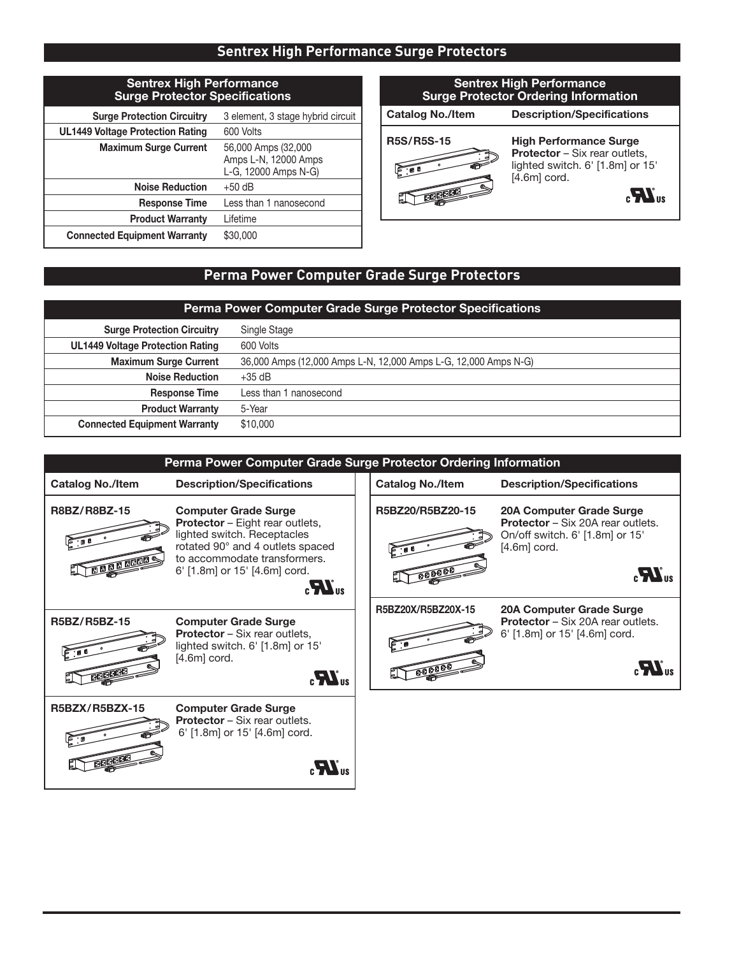# **Sentrex High Performance Surge Protectors**

| <b>Sentrex High Performance</b><br><b>Surge Protector Specifications</b> |                                                                     |  |  |  |
|--------------------------------------------------------------------------|---------------------------------------------------------------------|--|--|--|
| <b>Surge Protection Circuitry</b>                                        | 3 element, 3 stage hybrid circuit                                   |  |  |  |
| <b>UL1449 Voltage Protection Rating</b>                                  | 600 Volts                                                           |  |  |  |
| <b>Maximum Surge Current</b>                                             | 56,000 Amps (32,000<br>Amps L-N, 12000 Amps<br>L-G, 12000 Amps N-G) |  |  |  |
| <b>Noise Reduction</b>                                                   | $+50$ dB                                                            |  |  |  |
| <b>Response Time</b>                                                     | Less than 1 nanosecond                                              |  |  |  |
| <b>Product Warranty</b>                                                  | Lifetime                                                            |  |  |  |
| <b>Connected Equipment Warranty</b>                                      | \$30,000                                                            |  |  |  |

### **Catalog No./Item Description/Specifications Sentrex High Performance Surge Protector Ordering Information**



**R5S/R5S-15 High Performance Surge Protector** – Six rear outlets, lighted switch. 6' [1.8m] or 15'  $[4.6m]$  cord.



# **Perma Power Computer Grade Surge Protectors**

| <b>Perma Power Computer Grade Surge Protector Specifications</b> |                                                                 |  |  |
|------------------------------------------------------------------|-----------------------------------------------------------------|--|--|
| <b>Surge Protection Circuitry</b>                                | Single Stage                                                    |  |  |
| <b>UL1449 Voltage Protection Rating</b>                          | 600 Volts                                                       |  |  |
| <b>Maximum Surge Current</b>                                     | 36,000 Amps (12,000 Amps L-N, 12,000 Amps L-G, 12,000 Amps N-G) |  |  |
| <b>Noise Reduction</b>                                           | $+35$ dB                                                        |  |  |
| <b>Response Time</b>                                             | Less than 1 nanosecond                                          |  |  |
| <b>Product Warranty</b>                                          | 5-Year                                                          |  |  |
| <b>Connected Equipment Warranty</b>                              | \$10,000                                                        |  |  |

| Perma Power Computer Grade Surge Protector Ordering Information |                                                                                                                                                                                                                                       |  |                          |                                                                                                                                                         |  |  |
|-----------------------------------------------------------------|---------------------------------------------------------------------------------------------------------------------------------------------------------------------------------------------------------------------------------------|--|--------------------------|---------------------------------------------------------------------------------------------------------------------------------------------------------|--|--|
| <b>Catalog No./Item</b>                                         | <b>Description/Specifications</b>                                                                                                                                                                                                     |  | <b>Catalog No./Item</b>  | <b>Description/Specifications</b>                                                                                                                       |  |  |
| R8BZ/R8BZ-15                                                    | <b>Computer Grade Surge</b><br><b>Protector</b> - Eight rear outlets,<br>lighted switch. Receptacles<br>rotated 90° and 4 outlets spaced<br>to accommodate transformers.<br>6' [1.8m] or 15' [4.6m] cord.<br>$\mathbf{M}_{\text{us}}$ |  | R5BZ20/R5BZ20-15<br>F: B | 20A Computer Grade Surge<br><b>Protector</b> – Six 20A rear outlets.<br>On/off switch. 6' [1.8m] or 15'<br>$[4.6m]$ cord.<br>$\mathbf{M}$ <sub>us</sub> |  |  |
| R5BZ/R5BZ-15                                                    | <b>Computer Grade Surge</b><br><b>Protector</b> – Six rear outlets,<br>lighted switch. 6' [1.8m] or 15'<br>$[4.6m]$ cord.<br>$_{\circ}M_{\rm us}$                                                                                     |  | R5BZ20X/R5BZ20X-15       | 20A Computer Grade Surge<br><b>Protector</b> – Six 20A rear outlets.<br>6' [1.8m] or 15' [4.6m] cord.<br>$\mathbf{r}$                                   |  |  |
| <b>R5BZX/R5BZX-15</b>                                           | <b>Computer Grade Surge</b><br><b>Protector</b> – Six rear outlets.<br>6' [1.8m] or 15' [4.6m] cord.                                                                                                                                  |  |                          |                                                                                                                                                         |  |  |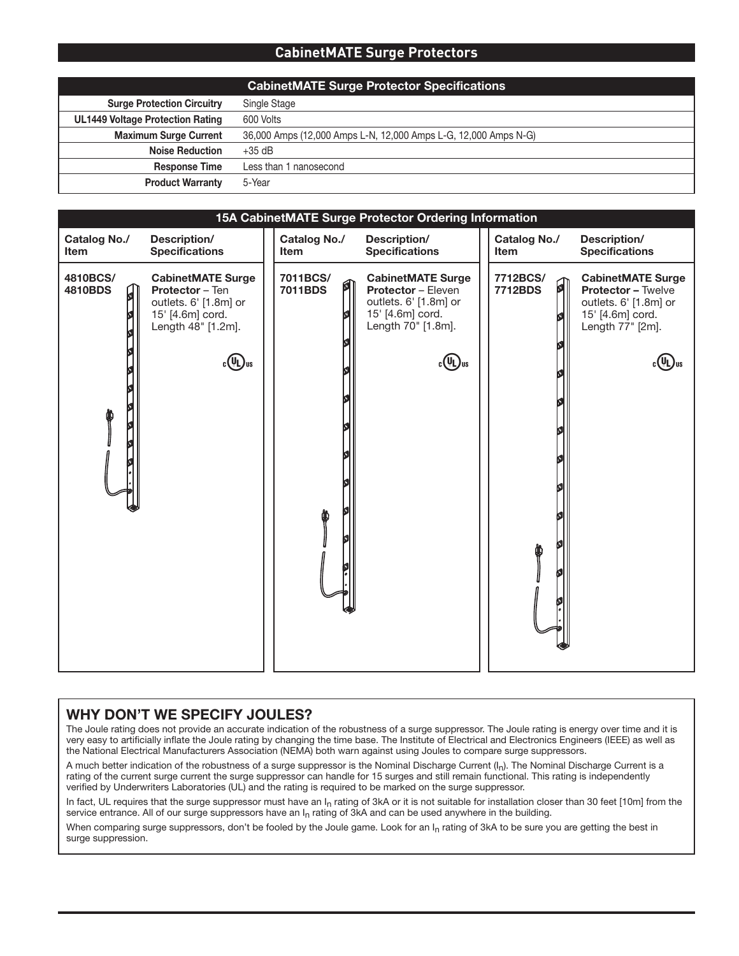#### **CabinetMATE Surge Protectors**

|                                         | <b>CabinetMATE Surge Protector Specifications</b>               |
|-----------------------------------------|-----------------------------------------------------------------|
| <b>Surge Protection Circuitry</b>       | Single Stage                                                    |
| <b>UL1449 Voltage Protection Rating</b> | 600 Volts                                                       |
| <b>Maximum Surge Current</b>            | 36,000 Amps (12,000 Amps L-N, 12,000 Amps L-G, 12,000 Amps N-G) |
| <b>Noise Reduction</b>                  | $+35$ dB                                                        |
| <b>Response Time</b>                    | Less than 1 nanosecond                                          |
| <b>Product Warranty</b>                 | 5-Year                                                          |

| 15A CabinetMATE Surge Protector Ordering Information |                                                                                                                                        |                             |        |                                                                                                                                       |  |                                    |    |                                                                                                                        |
|------------------------------------------------------|----------------------------------------------------------------------------------------------------------------------------------------|-----------------------------|--------|---------------------------------------------------------------------------------------------------------------------------------------|--|------------------------------------|----|------------------------------------------------------------------------------------------------------------------------|
| Catalog No./<br><b>Item</b>                          | Description/<br><b>Specifications</b>                                                                                                  | Catalog No./<br><b>Item</b> |        | Description/<br><b>Specifications</b>                                                                                                 |  | <b>Catalog No./</b><br><b>Item</b> |    | Description/<br><b>Specifications</b>                                                                                  |
| 4810BCS/<br>4810BDS<br>$\mathfrak{g}$                | <b>CabinetMATE Surge</b><br>Protector - Ten<br>outlets. 6' [1.8m] or<br>15' [4.6m] cord.<br>Length 48" [1.2m].<br>շ (Սլ) <sub>us</sub> | 7011BCS/<br>7011BDS         | 所<br>Ö | <b>CabinetMATE Surge</b><br><b>Protector - Eleven</b><br>outlets. 6' [1.8m] or<br>15' [4.6m] cord.<br>Length 70" [1.8m].<br>$c(U)$ us |  | 7712BCS/<br>7712BDS                | 0I | <b>CabinetMATE Surge</b><br><b>Protector - Twelve</b><br>outlets. 6' [1.8m] or<br>15' [4.6m] cord.<br>Length 77" [2m]. |

#### **WHY DON'T WE SPECIFY JOULES?**

The Joule rating does not provide an accurate indication of the robustness of a surge suppressor. The Joule rating is energy over time and it is very easy to artificially inflate the Joule rating by changing the time base. The Institute of Electrical and Electronics Engineers (IEEE) as well as the National Electrical Manufacturers Association (NEMA) both warn against using Joules to compare surge suppressors.

A much better indication of the robustness of a surge suppressor is the Nominal Discharge Current (I<sub>n</sub>). The Nominal Discharge Current is a rating of the current surge current the surge suppressor can handle for 15 surges and still remain functional. This rating is independently verified by Underwriters Laboratories (UL) and the rating is required to be marked on the surge suppressor.

In fact, UL requires that the surge suppressor must have an I<sub>n</sub> rating of 3kA or it is not suitable for installation closer than 30 feet [10m] from the service entrance. All of our surge suppressors have an  $I_n$  rating of 3kA and can be used anywhere in the building.

When comparing surge suppressors, don't be fooled by the Joule game. Look for an  $I_n$  rating of 3kA to be sure you are getting the best in surge suppression.